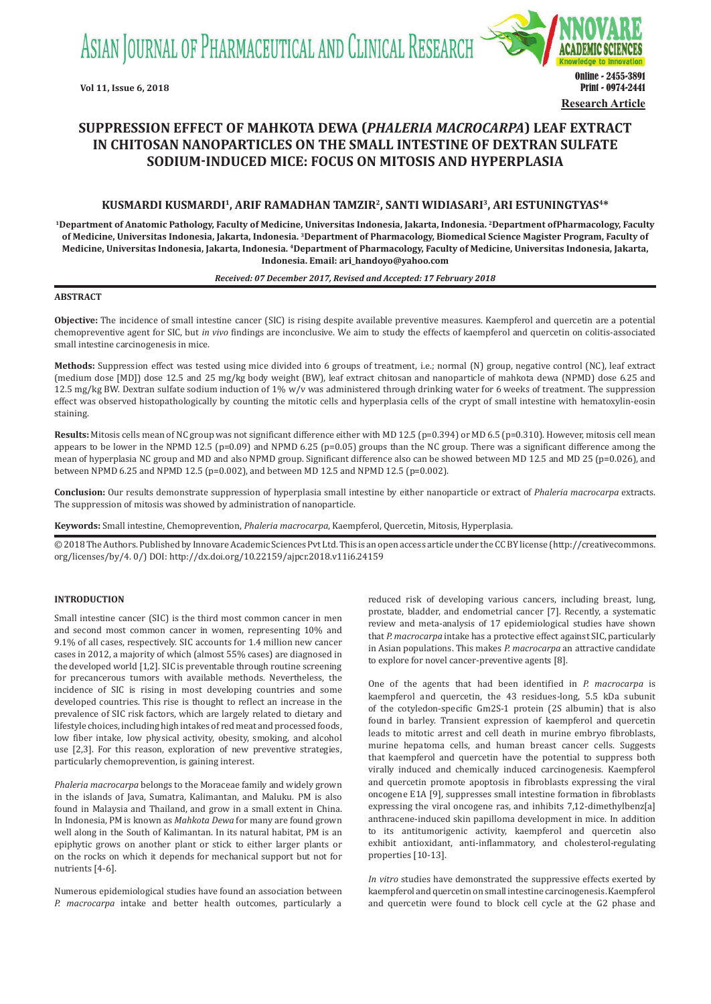ASIAN JOURNAL OF PHARMACEUTICAL AND CLINICAL RESEARCH



# **SUPPRESSION EFFECT OF MAHKOTA DEWA (***PHALERIA MACROCARPA***) LEAF EXTRACT IN CHITOSAN NANOPARTICLES ON THE SMALL INTESTINE OF DEXTRAN SULFATE SODIUM-INDUCED MICE: FOCUS ON MITOSIS AND HYPERPLASIA**

# **KUSMARDI KUSMARDI1, ARIF RAMADHAN TAMZIR2, SANTI WIDIASARI3, ARI ESTUNINGTYAS4\***

**1Department of Anatomic Pathology, Faculty of Medicine, Universitas Indonesia, Jakarta, Indonesia. 2Department of Pharmacology, Faculty of Medicine, Universitas Indonesia, Jakarta, Indonesia. 3Department of Pharmacology, Biomedical Science Magister Program, Faculty of Medicine, Universitas Indonesia, Jakarta, Indonesia. 4Department of Pharmacology, Faculty of Medicine, Universitas Indonesia, Jakarta, Indonesia. Email: ari\_handoyo@yahoo.com**

## *Received: 07 December 2017, Revised and Accepted: 17 February 2018*

### **ABSTRACT**

**Objective:** The incidence of small intestine cancer (SIC) is rising despite available preventive measures. Kaempferol and quercetin are a potential chemopreventive agent for SIC, but *in vivo* findings are inconclusive. We aim to study the effects of kaempferol and quercetin on colitis-associated small intestine carcinogenesis in mice.

**Methods:** Suppression effect was tested using mice divided into 6 groups of treatment, i.e.; normal (N) group, negative control (NC), leaf extract (medium dose [MD]) dose 12.5 and 25 mg/kg body weight (BW), leaf extract chitosan and nanoparticle of mahkota dewa (NPMD) dose 6.25 and 12.5 mg/kg BW. Dextran sulfate sodium induction of 1% w/v was administered through drinking water for 6 weeks of treatment. The suppression effect was observed histopathologically by counting the mitotic cells and hyperplasia cells of the crypt of small intestine with hematoxylin-eosin staining.

Results: Mitosis cells mean of NC group was not significant difference either with MD 12.5 (p=0.394) or MD 6.5 (p=0.310). However, mitosis cell mean appears to be lower in the NPMD 12.5 (p=0.09) and NPMD 6.25 (p=0.05) groups than the NC group. There was a significant difference among the mean of hyperplasia NC group and MD and also NPMD group. Significant difference also can be showed between MD 12.5 and MD 25 (p=0.026), and between NPMD 6.25 and NPMD 12.5 (p=0.002), and between MD 12.5 and NPMD 12.5 (p=0.002).

**Conclusion:** Our results demonstrate suppression of hyperplasia small intestine by either nanoparticle or extract of *Phaleria macrocarpa* extracts. The suppression of mitosis was showed by administration of nanoparticle.

**Keywords:** Small intestine, Chemoprevention, *Phaleria macrocarpa*, Kaempferol, Quercetin, Mitosis, Hyperplasia.

© 2018 The Authors. Published by Innovare Academic Sciences Pvt Ltd. This is an open access article under the CC BY license (http://creativecommons. org/licenses/by/4. 0/) DOI: http://dx.doi.org/10.22159/ajpcr.2018.v11i6.24159

# **INTRODUCTION**

Small intestine cancer (SIC) is the third most common cancer in men and second most common cancer in women, representing 10% and 9.1% of all cases, respectively. SIC accounts for 1.4 million new cancer cases in 2012, a majority of which (almost 55% cases) are diagnosed in the developed world [1,2]. SIC is preventable through routine screening for precancerous tumors with available methods. Nevertheless, the incidence of SIC is rising in most developing countries and some developed countries. This rise is thought to reflect an increase in the prevalence of SIC risk factors, which are largely related to dietary and lifestyle choices, including high intakes of red meat and processed foods, low fiber intake, low physical activity, obesity, smoking, and alcohol use [2,3]. For this reason, exploration of new preventive strategies, particularly chemoprevention, is gaining interest.

*Phaleria macrocarpa* belongs to the Moraceae family and widely grown in the islands of Java, Sumatra, Kalimantan, and Maluku. PM is also found in Malaysia and Thailand, and grow in a small extent in China. In Indonesia, PM is known as *Mahkota Dewa* for many are found grown well along in the South of Kalimantan. In its natural habitat, PM is an epiphytic grows on another plant or stick to either larger plants or on the rocks on which it depends for mechanical support but not for nutrients [4-6].

Numerous epidemiological studies have found an association between *P. macrocarpa* intake and better health outcomes, particularly a reduced risk of developing various cancers, including breast, lung, prostate, bladder, and endometrial cancer [7]. Recently, a systematic review and meta-analysis of 17 epidemiological studies have shown that *P. macrocarpa* intake has a protective effect against SIC, particularly in Asian populations. This makes *P. macrocarpa* an attractive candidate to explore for novel cancer-preventive agents [8].

One of the agents that had been identified in *P. macrocarpa* is kaempferol and quercetin, the 43 residues-long, 5.5 kDa subunit of the cotyledon-specific Gm2S-1 protein (2S albumin) that is also found in barley. Transient expression of kaempferol and quercetin leads to mitotic arrest and cell death in murine embryo fibroblasts, murine hepatoma cells, and human breast cancer cells. Suggests that kaempferol and quercetin have the potential to suppress both virally induced and chemically induced carcinogenesis. Kaempferol and quercetin promote apoptosis in fibroblasts expressing the viral oncogene E1A [9], suppresses small intestine formation in fibroblasts expressing the viral oncogene ras, and inhibits 7,12-dimethylbenz[a] anthracene-induced skin papilloma development in mice. In addition to its antitumorigenic activity, kaempferol and quercetin also exhibit antioxidant, anti-inflammatory, and cholesterol-regulating properties [10-13].

*In vitro* studies have demonstrated the suppressive effects exerted by kaempferol and quercetin on small intestine carcinogenesis. Kaempferol and quercetin were found to block cell cycle at the G2 phase and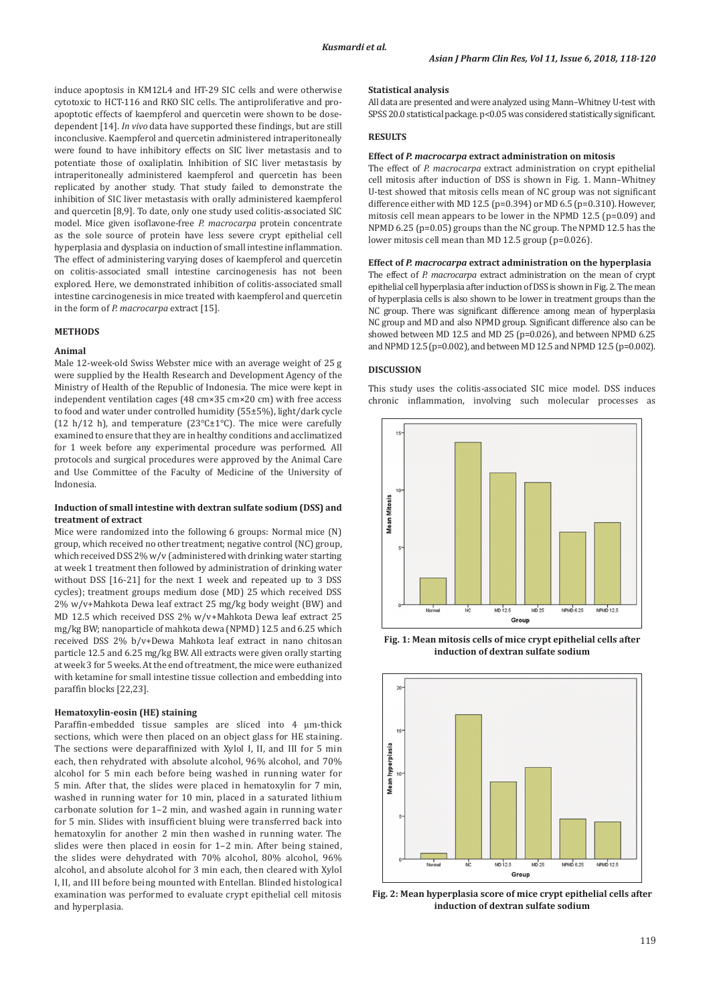induce apoptosis in KM12L4 and HT-29 SIC cells and were otherwise cytotoxic to HCT-116 and RKO SIC cells. The antiproliferative and proapoptotic effects of kaempferol and quercetin were shown to be dosedependent [14]. *In vivo* data have supported these findings, but are still inconclusive. Kaempferol and quercetin administered intraperitoneally were found to have inhibitory effects on SIC liver metastasis and to potentiate those of oxaliplatin. Inhibition of SIC liver metastasis by intraperitoneally administered kaempferol and quercetin has been replicated by another study. That study failed to demonstrate the inhibition of SIC liver metastasis with orally administered kaempferol and quercetin [8,9]. To date, only one study used colitis-associated SIC model. Mice given isoflavone-free *P. macrocarpa* protein concentrate as the sole source of protein have less severe crypt epithelial cell hyperplasia and dysplasia on induction of small intestine inflammation. The effect of administering varying doses of kaempferol and quercetin on colitis-associated small intestine carcinogenesis has not been explored. Here, we demonstrated inhibition of colitis-associated small intestine carcinogenesis in mice treated with kaempferol and quercetin in the form of *P. macrocarpa* extract [15].

# **METHODS**

# **Animal**

Male 12-week-old Swiss Webster mice with an average weight of 25 g were supplied by the Health Research and Development Agency of the Ministry of Health of the Republic of Indonesia. The mice were kept in independent ventilation cages (48 cm×35 cm×20 cm) with free access to food and water under controlled humidity (55±5%), light/dark cycle (12 h/12 h), and temperature (23°C $\pm$ 1°C). The mice were carefully examined to ensure that they are in healthy conditions and acclimatized for 1 week before any experimental procedure was performed. All protocols and surgical procedures were approved by the Animal Care and Use Committee of the Faculty of Medicine of the University of Indonesia.

# **Induction of small intestine with dextran sulfate sodium (DSS) and treatment of extract**

Mice were randomized into the following 6 groups: Normal mice (N) group, which received no other treatment; negative control (NC) group, which received DSS 2% w/v (administered with drinking water starting at week 1 treatment then followed by administration of drinking water without DSS [16-21] for the next 1 week and repeated up to 3 DSS cycles); treatment groups medium dose (MD) 25 which received DSS 2% w/v+Mahkota Dewa leaf extract 25 mg/kg body weight (BW) and MD 12.5 which received DSS 2% w/v+Mahkota Dewa leaf extract 25 mg/kg BW; nanoparticle of mahkota dewa (NPMD) 12.5 and 6.25 which received DSS 2% b/v+Dewa Mahkota leaf extract in nano chitosan particle 12.5 and 6.25 mg/kg BW. All extracts were given orally starting at week 3 for 5 weeks. At the end of treatment, the mice were euthanized with ketamine for small intestine tissue collection and embedding into paraffin blocks [22,23].

## **Hematoxylin-eosin (HE) staining**

Paraffin-embedded tissue samples are sliced into 4 µm-thick sections, which were then placed on an object glass for HE staining. The sections were deparaffinized with Xylol I, II, and III for 5 min each, then rehydrated with absolute alcohol, 96% alcohol, and 70% alcohol for 5 min each before being washed in running water for 5 min. After that, the slides were placed in hematoxylin for 7 min, washed in running water for 10 min, placed in a saturated lithium carbonate solution for 1–2 min, and washed again in running water for 5 min. Slides with insufficient bluing were transferred back into hematoxylin for another 2 min then washed in running water. The slides were then placed in eosin for 1–2 min. After being stained, the slides were dehydrated with 70% alcohol, 80% alcohol, 96% alcohol, and absolute alcohol for 3 min each, then cleared with Xylol I, II, and III before being mounted with Entellan. Blinded histological examination was performed to evaluate crypt epithelial cell mitosis and hyperplasia.

## **Statistical analysis**

All data are presented and were analyzed using Mann–Whitney U-test with SPSS 20.0 statistical package. p<0.05 was considered statistically significant.

## **RESULTS**

#### **Effect of** *P. macrocarpa* **extract administration on mitosis**

The effect of *P. macrocarpa* extract administration on crypt epithelial cell mitosis after induction of DSS is shown in Fig. 1. Mann–Whitney U-test showed that mitosis cells mean of NC group was not significant difference either with MD 12.5 (p=0.394) or MD 6.5 (p=0.310). However, mitosis cell mean appears to be lower in the NPMD 12.5 (p=0.09) and NPMD 6.25 (p=0.05) groups than the NC group. The NPMD 12.5 has the lower mitosis cell mean than MD 12.5 group (p=0.026).

#### **Effect of** *P. macrocarpa* **extract administration on the hyperplasia**

The effect of *P. macrocarpa* extract administration on the mean of crypt epithelial cell hyperplasia after induction of DSS is shown in Fig. 2. The mean of hyperplasia cells is also shown to be lower in treatment groups than the NC group. There was significant difference among mean of hyperplasia NC group and MD and also NPMD group. Significant difference also can be showed between MD 12.5 and MD 25 (p=0.026), and between NPMD 6.25 and NPMD 12.5 (p=0.002), and between MD 12.5 and NPMD 12.5 (p=0.002).

#### **DISCUSSION**

This study uses the colitis-associated SIC mice model. DSS induces chronic inflammation, involving such molecular processes as



**Fig. 1: Mean mitosis cells of mice crypt epithelial cells after induction of dextran sulfate sodium**



**Fig. 2: Mean hyperplasia score of mice crypt epithelial cells after induction of dextran sulfate sodium**